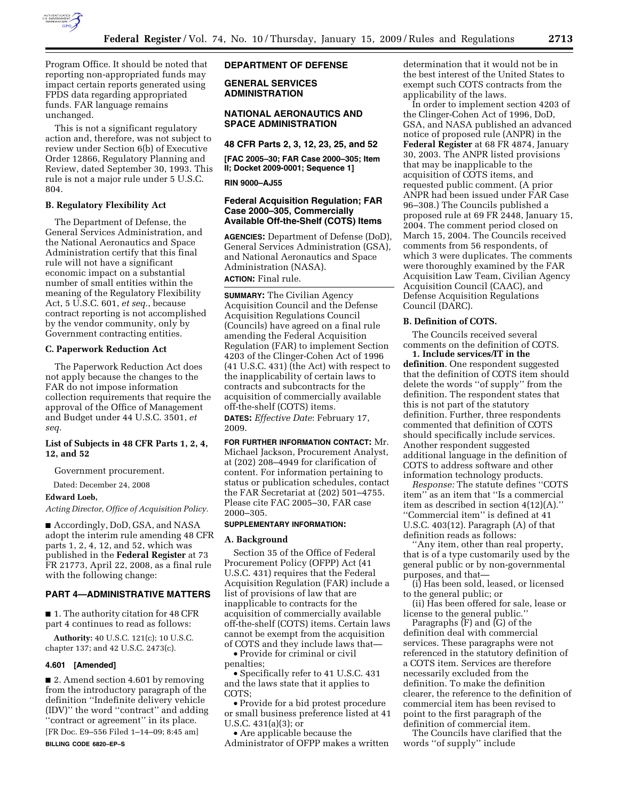

Program Office. It should be noted that reporting non-appropriated funds may impact certain reports generated using FPDS data regarding appropriated funds. FAR language remains unchanged.

This is not a significant regulatory action and, therefore, was not subject to review under Section 6(b) of Executive Order 12866, Regulatory Planning and Review, dated September 30, 1993. This rule is not a major rule under 5 U.S.C. 804.

# **B. Regulatory Flexibility Act**

The Department of Defense, the General Services Administration, and the National Aeronautics and Space Administration certify that this final rule will not have a significant economic impact on a substantial number of small entities within the meaning of the Regulatory Flexibility Act, 5 U.S.C. 601, *et seq.*, because contract reporting is not accomplished by the vendor community, only by Government contracting entities.

# **C. Paperwork Reduction Act**

The Paperwork Reduction Act does not apply because the changes to the FAR do not impose information collection requirements that require the approval of the Office of Management and Budget under 44 U.S.C. 3501, *et seq.* 

# **List of Subjects in 48 CFR Parts 1, 2, 4, 12, and 52**

Government procurement.

Dated: December 24, 2008

# **Edward Loeb,**

*Acting Director, Office of Acquisition Policy.* 

■ Accordingly, DoD, GSA, and NASA adopt the interim rule amending 48 CFR parts 1, 2, 4, 12, and 52, which was published in the **Federal Register** at 73 FR 21773, April 22, 2008, as a final rule with the following change:

# **PART 4—ADMINISTRATIVE MATTERS**

■ 1. The authority citation for 48 CFR part 4 continues to read as follows:

**Authority:** 40 U.S.C. 121(c); 10 U.S.C. chapter 137; and 42 U.S.C. 2473(c).

#### **4.601 [Amended]**

■ 2. Amend section 4.601 by removing from the introductory paragraph of the definition ''Indefinite delivery vehicle (IDV)'' the word ''contract'' and adding ''contract or agreement'' in its place. [FR Doc. E9–556 Filed 1–14–09; 8:45 am]

**BILLING CODE 6820–EP–S** 

### **DEPARTMENT OF DEFENSE**

**GENERAL SERVICES ADMINISTRATION** 

### **NATIONAL AERONAUTICS AND SPACE ADMINISTRATION**

# **48 CFR Parts 2, 3, 12, 23, 25, and 52**

**[FAC 2005–30; FAR Case 2000–305; Item II; Docket 2009-0001; Sequence 1]** 

**RIN 9000–AJ55** 

# **Federal Acquisition Regulation; FAR Case 2000–305, Commercially Available Off-the-Shelf (COTS) Items**

**AGENCIES:** Department of Defense (DoD), General Services Administration (GSA), and National Aeronautics and Space Administration (NASA).

# **ACTION:** Final rule.

**SUMMARY:** The Civilian Agency Acquisition Council and the Defense Acquisition Regulations Council (Councils) have agreed on a final rule amending the Federal Acquisition Regulation (FAR) to implement Section 4203 of the Clinger-Cohen Act of 1996 (41 U.S.C. 431) (the Act) with respect to the inapplicability of certain laws to contracts and subcontracts for the acquisition of commercially available off-the-shelf (COTS) items.

**DATES:** *Effective Date*: February 17, 2009.

**FOR FURTHER INFORMATION CONTACT:** Mr. Michael Jackson, Procurement Analyst, at (202) 208–4949 for clarification of content. For information pertaining to status or publication schedules, contact the FAR Secretariat at (202) 501–4755. Please cite FAC 2005–30, FAR case 2000–305.

### **SUPPLEMENTARY INFORMATION:**

### **A. Background**

Section 35 of the Office of Federal Procurement Policy (OFPP) Act (41 U.S.C. 431) requires that the Federal Acquisition Regulation (FAR) include a list of provisions of law that are inapplicable to contracts for the acquisition of commercially available off-the-shelf (COTS) items. Certain laws cannot be exempt from the acquisition of COTS and they include laws that—

• Provide for criminal or civil penalties;

• Specifically refer to 41 U.S.C. 431 and the laws state that it applies to COTS;

• Provide for a bid protest procedure or small business preference listed at 41 U.S.C. 431(a)(3); or

• Are applicable because the Administrator of OFPP makes a written determination that it would not be in the best interest of the United States to exempt such COTS contracts from the applicability of the laws.

In order to implement section 4203 of the Clinger-Cohen Act of 1996, DoD, GSA, and NASA published an advanced notice of proposed rule (ANPR) in the **Federal Register** at 68 FR 4874, January 30, 2003. The ANPR listed provisions that may be inapplicable to the acquisition of COTS items, and requested public comment. (A prior ANPR had been issued under FAR Case 96–308.) The Councils published a proposed rule at 69 FR 2448, January 15, 2004. The comment period closed on March 15, 2004. The Councils received comments from 56 respondents, of which 3 were duplicates. The comments were thoroughly examined by the FAR Acquisition Law Team, Civilian Agency Acquisition Council (CAAC), and Defense Acquisition Regulations Council (DARC).

# **B. Definition of COTS.**

The Councils received several comments on the definition of COTS. **1. Include services/IT in the** 

**definition**. One respondent suggested that the definition of COTS item should delete the words ''of supply'' from the definition. The respondent states that this is not part of the statutory definition. Further, three respondents commented that definition of COTS should specifically include services. Another respondent suggested additional language in the definition of COTS to address software and other information technology products.

*Response:* The statute defines ''COTS item'' as an item that ''Is a commercial item as described in section 4(12)(A).'' ''Commercial item'' is defined at 41 U.S.C. 403(12). Paragraph (A) of that definition reads as follows:

''Any item, other than real property, that is of a type customarily used by the general public or by non-governmental purposes, and that—

(i) Has been sold, leased, or licensed to the general public; or

(ii) Has been offered for sale, lease or license to the general public.''

Paragraphs (F) and (G) of the definition deal with commercial services. These paragraphs were not referenced in the statutory definition of a COTS item. Services are therefore necessarily excluded from the definition. To make the definition clearer, the reference to the definition of commercial item has been revised to point to the first paragraph of the definition of commercial item.

The Councils have clarified that the words ''of supply'' include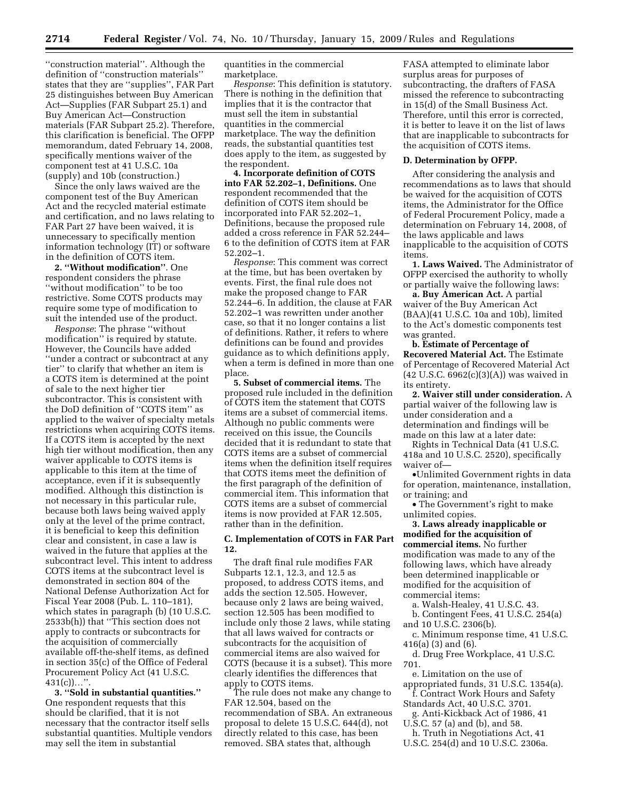''construction material''. Although the definition of ''construction materials'' states that they are ''supplies'', FAR Part 25 distinguishes between Buy American Act—Supplies (FAR Subpart 25.1) and Buy American Act—Construction materials (FAR Subpart 25.2). Therefore, this clarification is beneficial. The OFPP memorandum, dated February 14, 2008, specifically mentions waiver of the component test at 41 U.S.C. 10a (supply) and 10b (construction.)

Since the only laws waived are the component test of the Buy American Act and the recycled material estimate and certification, and no laws relating to FAR Part 27 have been waived, it is unnecessary to specifically mention information technology (IT) or software in the definition of COTS item.

**2. ''Without modification''**. One respondent considers the phrase ''without modification'' to be too restrictive. Some COTS products may require some type of modification to suit the intended use of the product.

*Response*: The phrase ''without modification'' is required by statute. However, the Councils have added ''under a contract or subcontract at any tier'' to clarify that whether an item is a COTS item is determined at the point of sale to the next higher tier subcontractor. This is consistent with the DoD definition of ''COTS item'' as applied to the waiver of specialty metals restrictions when acquiring COTS items. If a COTS item is accepted by the next high tier without modification, then any waiver applicable to COTS items is applicable to this item at the time of acceptance, even if it is subsequently modified. Although this distinction is not necessary in this particular rule, because both laws being waived apply only at the level of the prime contract, it is beneficial to keep this definition clear and consistent, in case a law is waived in the future that applies at the subcontract level. This intent to address COTS items at the subcontract level is demonstrated in section 804 of the National Defense Authorization Act for Fiscal Year 2008 (Pub. L. 110–181), which states in paragraph (b) (10 U.S.C. 2533b(h)) that ''This section does not apply to contracts or subcontracts for the acquisition of commercially available off-the-shelf items, as defined in section 35(c) of the Office of Federal Procurement Policy Act (41 U.S.C.  $431(c)$ ...".

**3. ''Sold in substantial quantities.''**  One respondent requests that this should be clarified, that it is not necessary that the contractor itself sells substantial quantities. Multiple vendors may sell the item in substantial

quantities in the commercial marketplace.

*Response*: This definition is statutory. There is nothing in the definition that implies that it is the contractor that must sell the item in substantial quantities in the commercial marketplace. The way the definition reads, the substantial quantities test does apply to the item, as suggested by the respondent.

**4. Incorporate definition of COTS into FAR 52.202–1, Definitions.** One respondent recommended that the definition of COTS item should be incorporated into FAR 52.202–1, Definitions, because the proposed rule added a cross reference in FAR 52.244– 6 to the definition of COTS item at FAR 52.202–1.

*Response*: This comment was correct at the time, but has been overtaken by events. First, the final rule does not make the proposed change to FAR 52.244–6. In addition, the clause at FAR 52.202–1 was rewritten under another case, so that it no longer contains a list of definitions. Rather, it refers to where definitions can be found and provides guidance as to which definitions apply, when a term is defined in more than one place.

**5. Subset of commercial items.** The proposed rule included in the definition of COTS item the statement that COTS items are a subset of commercial items. Although no public comments were received on this issue, the Councils decided that it is redundant to state that COTS items are a subset of commercial items when the definition itself requires that COTS items meet the definition of the first paragraph of the definition of commercial item. This information that COTS items are a subset of commercial items is now provided at FAR 12.505, rather than in the definition.

# **C. Implementation of COTS in FAR Part 12.**

The draft final rule modifies FAR Subparts 12.1, 12.3, and 12.5 as proposed, to address COTS items, and adds the section 12.505. However, because only 2 laws are being waived, section 12.505 has been modified to include only those 2 laws, while stating that all laws waived for contracts or subcontracts for the acquisition of commercial items are also waived for COTS (because it is a subset). This more clearly identifies the differences that apply to COTS items.

The rule does not make any change to FAR 12.504, based on the recommendation of SBA. An extraneous proposal to delete 15 U.S.C. 644(d), not directly related to this case, has been removed. SBA states that, although

FASA attempted to eliminate labor surplus areas for purposes of subcontracting, the drafters of FASA missed the reference to subcontracting in 15(d) of the Small Business Act. Therefore, until this error is corrected, it is better to leave it on the list of laws that are inapplicable to subcontracts for the acquisition of COTS items.

#### **D. Determination by OFPP.**

After considering the analysis and recommendations as to laws that should be waived for the acquisition of COTS items, the Administrator for the Office of Federal Procurement Policy, made a determination on February 14, 2008, of the laws applicable and laws inapplicable to the acquisition of COTS items.

**1. Laws Waived.** The Administrator of OFPP exercised the authority to wholly or partially waive the following laws:

**a. Buy American Act.** A partial waiver of the Buy American Act (BAA)(41 U.S.C. 10a and 10b), limited to the Act's domestic components test was granted.

**b. Estimate of Percentage of Recovered Material Act.** The Estimate of Percentage of Recovered Material Act (42 U.S.C. 6962(c)(3)(A)) was waived in its entirety.

**2. Waiver still under consideration.** A partial waiver of the following law is under consideration and a determination and findings will be made on this law at a later date:

Rights in Technical Data (41 U.S.C. 418a and 10 U.S.C. 2520), specifically waiver of-

•Unlimited Government rights in data for operation, maintenance, installation, or training; and

• The Government's right to make unlimited copies.

**3. Laws already inapplicable or modified for the acquisition of commercial items.** No further modification was made to any of the following laws, which have already been determined inapplicable or modified for the acquisition of commercial items:

a. Walsh-Healey, 41 U.S.C. 43.

b. Contingent Fees, 41 U.S.C. 254(a) and 10 U.S.C. 2306(b).

c. Minimum response time, 41 U.S.C. 416(a) (3) and (6).

d. Drug Free Workplace, 41 U.S.C. 701.

e. Limitation on the use of appropriated funds, 31 U.S.C. 1354(a).

- f. Contract Work Hours and Safety Standards Act, 40 U.S.C. 3701.
- g. Anti-Kickback Act of 1986, 41

U.S.C. 57 (a) and (b), and 58. h. Truth in Negotiations Act, 41

U.S.C. 254(d) and 10 U.S.C. 2306a.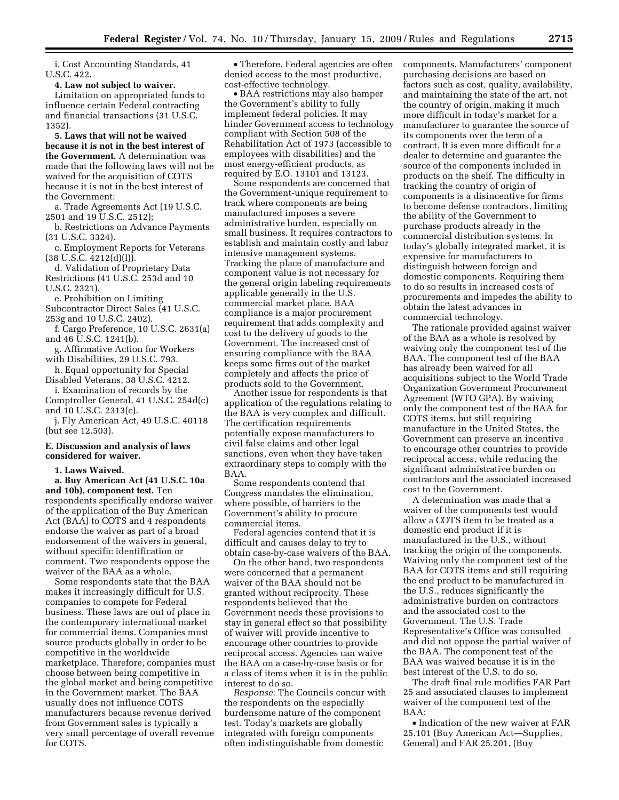i. Cost Accounting Standards, 41 U.S.C. 422.

**4. Law not subject to waiver.** 

Limitation on appropriated funds to influence certain Federal contracting and financial transactions (31 U.S.C. 1352).

**5. Laws that will not be waived because it is not in the best interest of the Government.** A determination was made that the following laws will not be waived for the acquisition of COTS because it is not in the best interest of the Government:

a. Trade Agreements Act (19 U.S.C. 2501 and 19 U.S.C. 2512);

b. Restrictions on Advance Payments (31 U.S.C. 3324).

c. Employment Reports for Veterans  $(38 \text{ U.S.C. } 4212\text{ (d)$ .

d. Validation of Proprietary Data Restrictions (41 U.S.C. 253d and 10 U.S.C. 2321).

e. Prohibition on Limiting

Subcontractor Direct Sales (41 U.S.C. 253g and 10 U.S.C. 2402).

f. Cargo Preference, 10 U.S.C. 2631(a) and 46 U.S.C. 1241(b).

g. Affirmative Action for Workers with Disabilities, 29 U.S.C. 793.

h. Equal opportunity for Special Disabled Veterans, 38 U.S.C. 4212.

i. Examination of records by the Comptroller General, 41 U.S.C. 254d(c) and 10 U.S.C. 2313(c).

j. Fly American Act, 49 U.S.C. 40118 (but see 12.503).

#### **E. Discussion and analysis of laws considered for waiver.**

**1. Laws Waived.** 

**a. Buy American Act (41 U.S.C. 10a and 10b), component test.** Ten respondents specifically endorse waiver of the application of the Buy American Act (BAA) to COTS and 4 respondents endorse the waiver as part of a broad endorsement of the waivers in general, without specific identification or comment. Two respondents oppose the waiver of the BAA as a whole.

Some respondents state that the BAA makes it increasingly difficult for U.S. companies to compete for Federal business. These laws are out of place in the contemporary international market for commercial items. Companies must source products globally in order to be competitive in the worldwide marketplace. Therefore, companies must choose between being competitive in the global market and being competitive in the Government market. The BAA usually does not influence COTS manufacturers because revenue derived from Government sales is typically a very small percentage of overall revenue for COTS.

• Therefore, Federal agencies are often denied access to the most productive, cost-effective technology.

• BAA restrictions may also hamper the Government's ability to fully implement federal policies. It may hinder Government access to technology compliant with Section 508 of the Rehabilitation Act of 1973 (accessible to employees with disabilities) and the most energy-efficient products, as required by E.O. 13101 and 13123.

Some respondents are concerned that the Government-unique requirement to track where components are being manufactured imposes a severe administrative burden, especially on small business. It requires contractors to establish and maintain costly and labor intensive management systems. Tracking the place of manufacture and component value is not necessary for the general origin labeling requirements applicable generally in the U.S. commercial market place. BAA compliance is a major procurement requirement that adds complexity and cost to the delivery of goods to the Government. The increased cost of ensuring compliance with the BAA keeps some firms out of the market completely and affects the price of products sold to the Government.

Another issue for respondents is that application of the regulations relating to the BAA is very complex and difficult. The certification requirements potentially expose manufacturers to civil false claims and other legal sanctions, even when they have taken extraordinary steps to comply with the BAA.

Some respondents contend that Congress mandates the elimination, where possible, of barriers to the Government's ability to procure commercial items.

Federal agencies contend that it is difficult and causes delay to try to obtain case-by-case waivers of the BAA.

On the other hand, two respondents were concerned that a permanent waiver of the BAA should not be granted without reciprocity. These respondents believed that the Government needs these provisions to stay in general effect so that possibility of waiver will provide incentive to encourage other countries to provide reciprocal access. Agencies can waive the BAA on a case-by-case basis or for a class of items when it is in the public interest to do so.

*Response*: The Councils concur with the respondents on the especially burdensome nature of the component test. Today's markets are globally integrated with foreign components often indistinguishable from domestic

components. Manufacturers' component purchasing decisions are based on factors such as cost, quality, availability, and maintaining the state of the art, not the country of origin, making it much more difficult in today's market for a manufacturer to guarantee the source of its components over the term of a contract. It is even more difficult for a dealer to determine and guarantee the source of the components included in products on the shelf. The difficulty in tracking the country of origin of components is a disincentive for firms to become defense contractors, limiting the ability of the Government to purchase products already in the commercial distribution systems. In today's globally integrated market, it is expensive for manufacturers to distinguish between foreign and domestic components. Requiring them to do so results in increased costs of procurements and impedes the ability to obtain the latest advances in commercial technology.

The rationale provided against waiver of the BAA as a whole is resolved by waiving only the component test of the BAA. The component test of the BAA has already been waived for all acquisitions subject to the World Trade Organization Government Procurement Agreement (WTO GPA). By waiving only the component test of the BAA for COTS items, but still requiring manufacture in the United States, the Government can preserve an incentive to encourage other countries to provide reciprocal access, while reducing the significant administrative burden on contractors and the associated increased cost to the Government.

A determination was made that a waiver of the components test would allow a COTS item to be treated as a domestic end product if it is manufactured in the U.S., without tracking the origin of the components. Waiving only the component test of the BAA for COTS items and still requiring the end product to be manufactured in the U.S., reduces significantly the administrative burden on contractors and the associated cost to the Government. The U.S. Trade Representative's Office was consulted and did not oppose the partial waiver of the BAA. The component test of the BAA was waived because it is in the best interest of the U.S. to do so.

The draft final rule modifies FAR Part 25 and associated clauses to implement waiver of the component test of the BAA:

• Indication of the new waiver at FAR 25.101 (Buy American Act—Supplies, General) and FAR 25.201, (Buy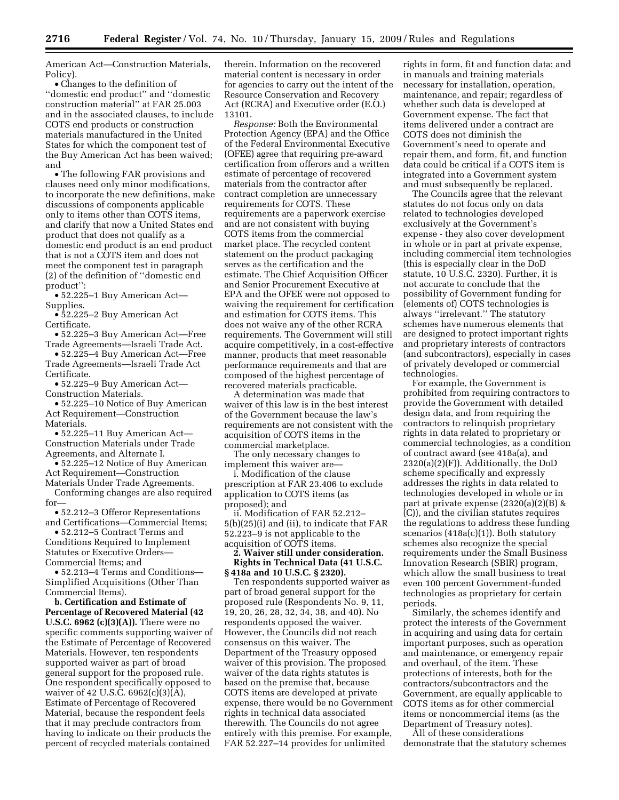American Act—Construction Materials, Policy).

• Changes to the definition of ''domestic end product'' and ''domestic construction material'' at FAR 25.003 and in the associated clauses, to include COTS end products or construction materials manufactured in the United States for which the component test of the Buy American Act has been waived; and

• The following FAR provisions and clauses need only minor modifications, to incorporate the new definitions, make discussions of components applicable only to items other than COTS items, and clarify that now a United States end product that does not qualify as a domestic end product is an end product that is not a COTS item and does not meet the component test in paragraph (2) of the definition of ''domestic end product'':

• 52.225–1 Buy American Act— Supplies.

• 52.225–2 Buy American Act Certificate.

• 52.225–3 Buy American Act—Free Trade Agreements—Israeli Trade Act.

• 52.225–4 Buy American Act—Free Trade Agreements—Israeli Trade Act Certificate.

• 52.225–9 Buy American Act— Construction Materials.

• 52.225–10 Notice of Buy American Act Requirement—Construction Materials.

• 52.225–11 Buy American Act— Construction Materials under Trade Agreements, and Alternate I.

• 52.225–12 Notice of Buy American Act Requirement—Construction Materials Under Trade Agreements.

Conforming changes are also required for—

• 52.212–3 Offeror Representations and Certifications—Commercial Items; • 52.212–5 Contract Terms and

Conditions Required to Implement Statutes or Executive Orders— Commercial Items; and

• 52.213–4 Terms and Conditions— Simplified Acquisitions (Other Than Commercial Items).

**b. Certification and Estimate of Percentage of Recovered Material (42 U.S.C. 6962 (c)(3)(A)).** There were no specific comments supporting waiver of the Estimate of Percentage of Recovered Materials. However, ten respondents supported waiver as part of broad general support for the proposed rule. One respondent specifically opposed to waiver of 42 U.S.C.  $6962(c)(3)(\bar{A})$ , Estimate of Percentage of Recovered Material, because the respondent feels that it may preclude contractors from having to indicate on their products the percent of recycled materials contained

therein. Information on the recovered material content is necessary in order for agencies to carry out the intent of the Resource Conservation and Recovery Act (RCRA) and Executive order (E.O.) 13101.

*Response:* Both the Environmental Protection Agency (EPA) and the Office of the Federal Environmental Executive (OFEE) agree that requiring pre-award certification from offerors and a written estimate of percentage of recovered materials from the contractor after contract completion are unnecessary requirements for COTS. These requirements are a paperwork exercise and are not consistent with buying COTS items from the commercial market place. The recycled content statement on the product packaging serves as the certification and the estimate. The Chief Acquisition Officer and Senior Procurement Executive at EPA and the OFEE were not opposed to waiving the requirement for certification and estimation for COTS items. This does not waive any of the other RCRA requirements. The Government will still acquire competitively, in a cost-effective manner, products that meet reasonable performance requirements and that are composed of the highest percentage of recovered materials practicable.

A determination was made that waiver of this law is in the best interest of the Government because the law's requirements are not consistent with the acquisition of COTS items in the commercial marketplace.

The only necessary changes to implement this waiver are—

i. Modification of the clause prescription at FAR 23.406 to exclude application to COTS items (as proposed); and

ii. Modification of FAR 52.212– 5(b)(25)(i) and (ii), to indicate that FAR 52.223–9 is not applicable to the acquisition of COTS items.

**2. Waiver still under consideration. Rights in Technical Data (41 U.S.C. § 418a and 10 U.S.C. § 2320).** 

Ten respondents supported waiver as part of broad general support for the proposed rule (Respondents No. 9, 11, 19, 20, 26, 28, 32, 34, 38, and 40). No respondents opposed the waiver. However, the Councils did not reach consensus on this waiver. The Department of the Treasury opposed waiver of this provision. The proposed waiver of the data rights statutes is based on the premise that, because COTS items are developed at private expense, there would be no Government rights in technical data associated therewith. The Councils do not agree entirely with this premise. For example, FAR 52.227–14 provides for unlimited

rights in form, fit and function data; and in manuals and training materials necessary for installation, operation, maintenance, and repair; regardless of whether such data is developed at Government expense. The fact that items delivered under a contract are COTS does not diminish the Government's need to operate and repair them, and form, fit, and function data could be critical if a COTS item is integrated into a Government system and must subsequently be replaced.

The Councils agree that the relevant statutes do not focus only on data related to technologies developed exclusively at the Government's expense - they also cover development in whole or in part at private expense, including commercial item technologies (this is especially clear in the DoD statute, 10 U.S.C. 2320). Further, it is not accurate to conclude that the possibility of Government funding for (elements of) COTS technologies is always ''irrelevant.'' The statutory schemes have numerous elements that are designed to protect important rights and proprietary interests of contractors (and subcontractors), especially in cases of privately developed or commercial technologies.

For example, the Government is prohibited from requiring contractors to provide the Government with detailed design data, and from requiring the contractors to relinquish proprietary rights in data related to proprietary or commercial technologies, as a condition of contract award (see 418a(a), and 2320(a)(2)(F)). Additionally, the DoD scheme specifically and expressly addresses the rights in data related to technologies developed in whole or in part at private expense (2320(a)(2)(B) & (C)), and the civilian statutes requires the regulations to address these funding scenarios  $(418a(c)(1))$ . Both statutory schemes also recognize the special requirements under the Small Business Innovation Research (SBIR) program, which allow the small business to treat even 100 percent Government-funded technologies as proprietary for certain periods.

Similarly, the schemes identify and protect the interests of the Government in acquiring and using data for certain important purposes, such as operation and maintenance, or emergency repair and overhaul, of the item. These protections of interests, both for the contractors/subcontractors and the Government, are equally applicable to COTS items as for other commercial items or noncommercial items (as the Department of Treasury notes).

All of these considerations demonstrate that the statutory schemes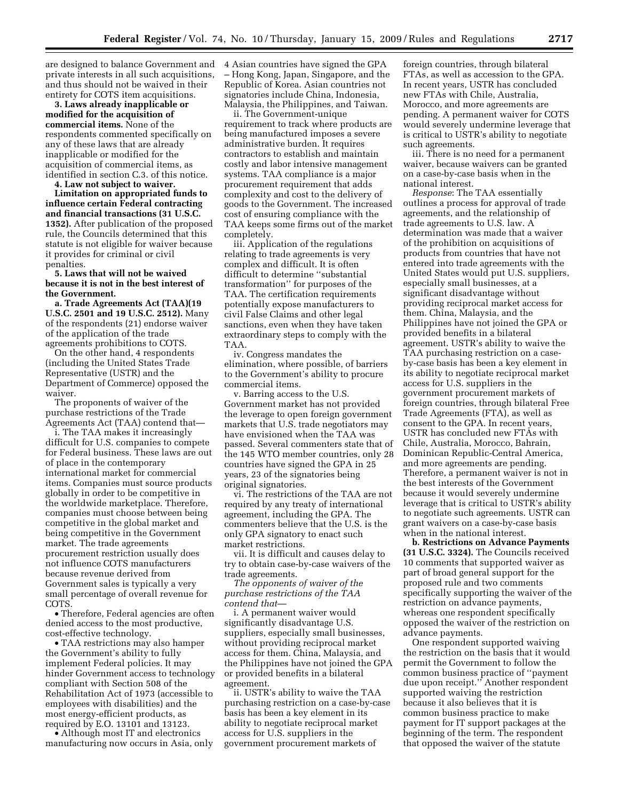are designed to balance Government and 4 Asian countries have signed the GPA private interests in all such acquisitions, and thus should not be waived in their entirety for COTS item acquisitions.

**3. Laws already inapplicable or modified for the acquisition of commercial items.** None of the respondents commented specifically on any of these laws that are already inapplicable or modified for the acquisition of commercial items, as identified in section C.3. of this notice.

**4. Law not subject to waiver.** 

**Limitation on appropriated funds to influence certain Federal contracting and financial transactions (31 U.S.C. 1352).** After publication of the proposed rule, the Councils determined that this statute is not eligible for waiver because it provides for criminal or civil penalties.

# **5. Laws that will not be waived because it is not in the best interest of the Government.**

**a. Trade Agreements Act (TAA)(19 U.S.C. 2501 and 19 U.S.C. 2512).** Many of the respondents (21) endorse waiver of the application of the trade agreements prohibitions to COTS.

On the other hand, 4 respondents (including the United States Trade Representative (USTR) and the Department of Commerce) opposed the waiver.

The proponents of waiver of the purchase restrictions of the Trade Agreements Act (TAA) contend that—

i. The TAA makes it increasingly difficult for U.S. companies to compete for Federal business. These laws are out of place in the contemporary international market for commercial items. Companies must source products globally in order to be competitive in the worldwide marketplace. Therefore, companies must choose between being competitive in the global market and being competitive in the Government market. The trade agreements procurement restriction usually does not influence COTS manufacturers because revenue derived from Government sales is typically a very small percentage of overall revenue for COTS.

• Therefore, Federal agencies are often denied access to the most productive, cost-effective technology.

• TAA restrictions may also hamper the Government's ability to fully implement Federal policies. It may hinder Government access to technology compliant with Section 508 of the Rehabilitation Act of 1973 (accessible to employees with disabilities) and the most energy-efficient products, as required by E.O. 13101 and 13123.

• Although most IT and electronics manufacturing now occurs in Asia, only – Hong Kong, Japan, Singapore, and the Republic of Korea. Asian countries not signatories include China, Indonesia, Malaysia, the Philippines, and Taiwan.

ii. The Government-unique requirement to track where products are being manufactured imposes a severe administrative burden. It requires contractors to establish and maintain costly and labor intensive management systems. TAA compliance is a major procurement requirement that adds complexity and cost to the delivery of goods to the Government. The increased cost of ensuring compliance with the TAA keeps some firms out of the market completely.

iii. Application of the regulations relating to trade agreements is very complex and difficult. It is often difficult to determine ''substantial transformation'' for purposes of the TAA. The certification requirements potentially expose manufacturers to civil False Claims and other legal sanctions, even when they have taken extraordinary steps to comply with the TAA.

iv. Congress mandates the elimination, where possible, of barriers to the Government's ability to procure commercial items.

v. Barring access to the U.S. Government market has not provided the leverage to open foreign government markets that U.S. trade negotiators may have envisioned when the TAA was passed. Several commenters state that of the 145 WTO member countries, only 28 countries have signed the GPA in 25 years, 23 of the signatories being original signatories.

vi. The restrictions of the TAA are not required by any treaty of international agreement, including the GPA. The commenters believe that the U.S. is the only GPA signatory to enact such market restrictions.

vii. It is difficult and causes delay to try to obtain case-by-case waivers of the trade agreements.

*The opponents of waiver of the purchase restrictions of the TAA contend that*—

i. A permanent waiver would significantly disadvantage U.S. suppliers, especially small businesses, without providing reciprocal market access for them. China, Malaysia, and the Philippines have not joined the GPA or provided benefits in a bilateral agreement.

ii. USTR's ability to waive the TAA purchasing restriction on a case-by-case basis has been a key element in its ability to negotiate reciprocal market access for U.S. suppliers in the government procurement markets of

foreign countries, through bilateral FTAs, as well as accession to the GPA. In recent years, USTR has concluded new FTAs with Chile, Australia, Morocco, and more agreements are pending. A permanent waiver for COTS would severely undermine leverage that is critical to USTR's ability to negotiate such agreements.

iii. There is no need for a permanent waiver, because waivers can be granted on a case-by-case basis when in the national interest.

*Response*: The TAA essentially outlines a process for approval of trade agreements, and the relationship of trade agreements to U.S. law. A determination was made that a waiver of the prohibition on acquisitions of products from countries that have not entered into trade agreements with the United States would put U.S. suppliers, especially small businesses, at a significant disadvantage without providing reciprocal market access for them. China, Malaysia, and the Philippines have not joined the GPA or provided benefits in a bilateral agreement. USTR's ability to waive the TAA purchasing restriction on a caseby-case basis has been a key element in its ability to negotiate reciprocal market access for U.S. suppliers in the government procurement markets of foreign countries, through bilateral Free Trade Agreements (FTA), as well as consent to the GPA. In recent years, USTR has concluded new FTAs with Chile, Australia, Morocco, Bahrain, Dominican Republic-Central America, and more agreements are pending. Therefore, a permanent waiver is not in the best interests of the Government because it would severely undermine leverage that is critical to USTR's ability to negotiate such agreements. USTR can grant waivers on a case-by-case basis when in the national interest.

**b. Restrictions on Advance Payments (31 U.S.C. 3324).** The Councils received 10 comments that supported waiver as part of broad general support for the proposed rule and two comments specifically supporting the waiver of the restriction on advance payments, whereas one respondent specifically opposed the waiver of the restriction on advance payments.

One respondent supported waiving the restriction on the basis that it would permit the Government to follow the common business practice of ''payment due upon receipt.'' Another respondent supported waiving the restriction because it also believes that it is common business practice to make payment for IT support packages at the beginning of the term. The respondent that opposed the waiver of the statute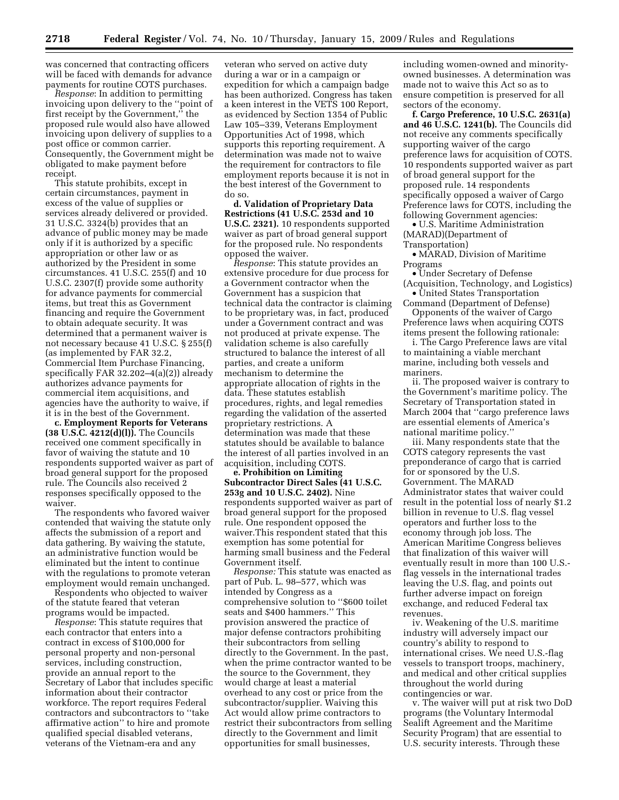was concerned that contracting officers will be faced with demands for advance payments for routine COTS purchases.

*Response*: In addition to permitting invoicing upon delivery to the ''point of first receipt by the Government,'' the proposed rule would also have allowed invoicing upon delivery of supplies to a post office or common carrier. Consequently, the Government might be obligated to make payment before receipt.

This statute prohibits, except in certain circumstances, payment in excess of the value of supplies or services already delivered or provided. 31 U.S.C. 3324(b) provides that an advance of public money may be made only if it is authorized by a specific appropriation or other law or as authorized by the President in some circumstances. 41 U.S.C. 255(f) and 10 U.S.C. 2307(f) provide some authority for advance payments for commercial items, but treat this as Government financing and require the Government to obtain adequate security. It was determined that a permanent waiver is not necessary because 41 U.S.C. § 255(f) (as implemented by FAR 32.2, Commercial Item Purchase Financing, specifically FAR 32.202–4(a)(2)) already authorizes advance payments for commercial item acquisitions, and agencies have the authority to waive, if it is in the best of the Government.

**c. Employment Reports for Veterans (38 U.S.C. 4212(d)(l)).** The Councils received one comment specifically in favor of waiving the statute and 10 respondents supported waiver as part of broad general support for the proposed rule. The Councils also received 2 responses specifically opposed to the waiver.

The respondents who favored waiver contended that waiving the statute only affects the submission of a report and data gathering. By waiving the statute, an administrative function would be eliminated but the intent to continue with the regulations to promote veteran employment would remain unchanged.

Respondents who objected to waiver of the statute feared that veteran programs would be impacted.

*Response*: This statute requires that each contractor that enters into a contract in excess of \$100,000 for personal property and non-personal services, including construction, provide an annual report to the Secretary of Labor that includes specific information about their contractor workforce. The report requires Federal contractors and subcontractors to ''take affirmative action'' to hire and promote qualified special disabled veterans, veterans of the Vietnam-era and any

veteran who served on active duty during a war or in a campaign or expedition for which a campaign badge has been authorized. Congress has taken a keen interest in the VETS 100 Report, as evidenced by Section 1354 of Public Law 105–339, Veterans Employment Opportunities Act of 1998, which supports this reporting requirement. A determination was made not to waive the requirement for contractors to file employment reports because it is not in the best interest of the Government to do so.

**d. Validation of Proprietary Data Restrictions (41 U.S.C. 253d and 10 U.S.C. 2321).** 10 respondents supported waiver as part of broad general support for the proposed rule. No respondents opposed the waiver.

*Response*: This statute provides an extensive procedure for due process for a Government contractor when the Government has a suspicion that technical data the contractor is claiming to be proprietary was, in fact, produced under a Government contract and was not produced at private expense. The validation scheme is also carefully structured to balance the interest of all parties, and create a uniform mechanism to determine the appropriate allocation of rights in the data. These statutes establish procedures, rights, and legal remedies regarding the validation of the asserted proprietary restrictions. A determination was made that these statutes should be available to balance the interest of all parties involved in an acquisition, including COTS.

**e. Prohibition on Limiting Subcontractor Direct Sales (41 U.S.C. 253g and 10 U.S.C. 2402).** Nine respondents supported waiver as part of broad general support for the proposed rule. One respondent opposed the waiver.This respondent stated that this exemption has some potential for harming small business and the Federal Government itself.

*Response:* This statute was enacted as part of Pub. L. 98–577, which was intended by Congress as a comprehensive solution to ''\$600 toilet seats and \$400 hammers.'' This provision answered the practice of major defense contractors prohibiting their subcontractors from selling directly to the Government. In the past, when the prime contractor wanted to be the source to the Government, they would charge at least a material overhead to any cost or price from the subcontractor/supplier. Waiving this Act would allow prime contractors to restrict their subcontractors from selling directly to the Government and limit opportunities for small businesses,

including women-owned and minorityowned businesses. A determination was made not to waive this Act so as to ensure competition is preserved for all sectors of the economy.

**f. Cargo Preference, 10 U.S.C. 2631(a) and 46 U.S.C. 1241(b).** The Councils did not receive any comments specifically supporting waiver of the cargo preference laws for acquisition of COTS. 10 respondents supported waiver as part of broad general support for the proposed rule. 14 respondents specifically opposed a waiver of Cargo Preference laws for COTS, including the following Government agencies:

• U.S. Maritime Administration (MARAD)(Department of Transportation)

• MARAD, Division of Maritime Programs

• Under Secretary of Defense (Acquisition, Technology, and Logistics)

• United States Transportation Command (Department of Defense) Opponents of the waiver of Cargo

Preference laws when acquiring COTS items present the following rationale:

i. The Cargo Preference laws are vital to maintaining a viable merchant marine, including both vessels and mariners.

ii. The proposed waiver is contrary to the Government's maritime policy. The Secretary of Transportation stated in March 2004 that ''cargo preference laws are essential elements of America's national maritime policy.''

iii. Many respondents state that the COTS category represents the vast preponderance of cargo that is carried for or sponsored by the U.S. Government. The MARAD Administrator states that waiver could result in the potential loss of nearly \$1.2 billion in revenue to U.S. flag vessel operators and further loss to the economy through job loss. The American Maritime Congress believes that finalization of this waiver will eventually result in more than 100 U.S. flag vessels in the international trades leaving the U.S. flag, and points out further adverse impact on foreign exchange, and reduced Federal tax revenues.

iv. Weakening of the U.S. maritime industry will adversely impact our country's ability to respond to international crises. We need U.S.-flag vessels to transport troops, machinery, and medical and other critical supplies throughout the world during contingencies or war.

v. The waiver will put at risk two DoD programs (the Voluntary Intermodal Sealift Agreement and the Maritime Security Program) that are essential to U.S. security interests. Through these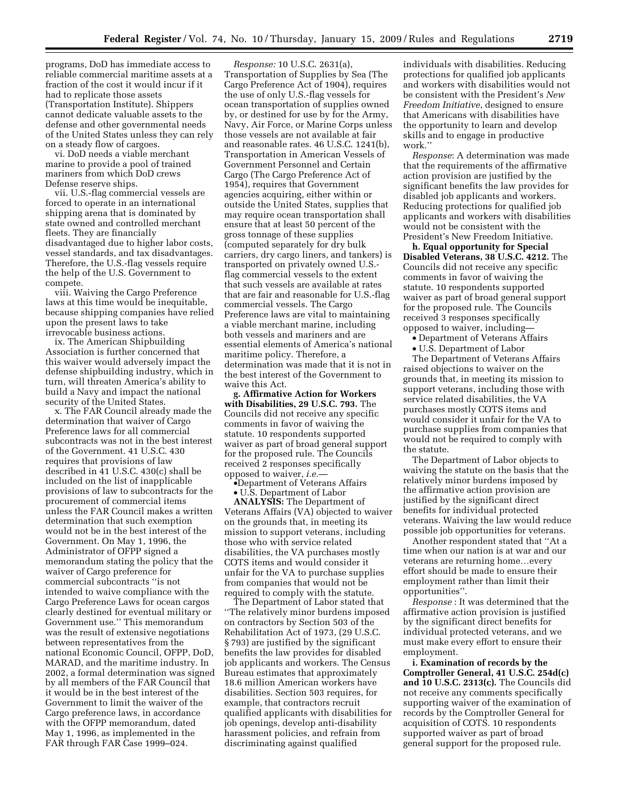programs, DoD has immediate access to reliable commercial maritime assets at a fraction of the cost it would incur if it had to replicate those assets (Transportation Institute). Shippers cannot dedicate valuable assets to the defense and other governmental needs of the United States unless they can rely on a steady flow of cargoes.

vi. DoD needs a viable merchant marine to provide a pool of trained mariners from which DoD crews Defense reserve ships.

vii. U.S.-flag commercial vessels are forced to operate in an international shipping arena that is dominated by state owned and controlled merchant fleets. They are financially disadvantaged due to higher labor costs, vessel standards, and tax disadvantages. Therefore, the U.S.-flag vessels require the help of the U.S. Government to compete.

viii. Waiving the Cargo Preference laws at this time would be inequitable, because shipping companies have relied upon the present laws to take irrevocable business actions.

ix. The American Shipbuilding Association is further concerned that this waiver would adversely impact the defense shipbuilding industry, which in turn, will threaten America's ability to build a Navy and impact the national security of the United States.

x. The FAR Council already made the determination that waiver of Cargo Preference laws for all commercial subcontracts was not in the best interest of the Government. 41 U.S.C. 430 requires that provisions of law described in 41 U.S.C. 430(c) shall be included on the list of inapplicable provisions of law to subcontracts for the procurement of commercial items unless the FAR Council makes a written determination that such exemption would not be in the best interest of the Government. On May 1, 1996, the Administrator of OFPP signed a memorandum stating the policy that the waiver of Cargo preference for commercial subcontracts ''is not intended to waive compliance with the Cargo Preference Laws for ocean cargos clearly destined for eventual military or Government use.'' This memorandum was the result of extensive negotiations between representatives from the national Economic Council, OFPP, DoD, MARAD, and the maritime industry. In 2002, a formal determination was signed by all members of the FAR Council that it would be in the best interest of the Government to limit the waiver of the Cargo preference laws, in accordance with the OFPP memorandum, dated May 1, 1996, as implemented in the FAR through FAR Case 1999–024.

*Response:* 10 U.S.C. 2631(a), Transportation of Supplies by Sea (The Cargo Preference Act of 1904), requires the use of only U.S.-flag vessels for ocean transportation of supplies owned by, or destined for use by for the Army, Navy, Air Force, or Marine Corps unless those vessels are not available at fair and reasonable rates. 46 U.S.C. 1241(b), Transportation in American Vessels of Government Personnel and Certain Cargo (The Cargo Preference Act of 1954), requires that Government agencies acquiring, either within or outside the United States, supplies that may require ocean transportation shall ensure that at least 50 percent of the gross tonnage of these supplies (computed separately for dry bulk carriers, dry cargo liners, and tankers) is transported on privately owned U.S. flag commercial vessels to the extent that such vessels are available at rates that are fair and reasonable for U.S.-flag commercial vessels. The Cargo Preference laws are vital to maintaining a viable merchant marine, including both vessels and mariners and are essential elements of America's national maritime policy. Therefore, a determination was made that it is not in the best interest of the Government to waive this Act.

**g. Affirmative Action for Workers with Disabilities, 29 U.S.C. 793.** The Councils did not receive any specific comments in favor of waiving the statute. 10 respondents supported waiver as part of broad general support for the proposed rule. The Councils received 2 responses specifically opposed to waiver, *i.e.*—

•Department of Veterans Affairs

• U.S. Department of Labor

**ANALYSIS:** The Department of Veterans Affairs (VA) objected to waiver on the grounds that, in meeting its mission to support veterans, including those who with service related disabilities, the VA purchases mostly COTS items and would consider it unfair for the VA to purchase supplies from companies that would not be required to comply with the statute.

The Department of Labor stated that ''The relatively minor burdens imposed on contractors by Section 503 of the Rehabilitation Act of 1973, (29 U.S.C. § 793) are justified by the significant benefits the law provides for disabled job applicants and workers. The Census Bureau estimates that approximately 18.6 million American workers have disabilities. Section 503 requires, for example, that contractors recruit qualified applicants with disabilities for job openings, develop anti-disability harassment policies, and refrain from discriminating against qualified

individuals with disabilities. Reducing protections for qualified job applicants and workers with disabilities would not be consistent with the President's *New Freedom Initiative*, designed to ensure that Americans with disabilities have the opportunity to learn and develop skills and to engage in productive work.''

*Response*: A determination was made that the requirements of the affirmative action provision are justified by the significant benefits the law provides for disabled job applicants and workers. Reducing protections for qualified job applicants and workers with disabilities would not be consistent with the President's New Freedom Initiative.

**h. Equal opportunity for Special Disabled Veterans, 38 U.S.C. 4212.** The Councils did not receive any specific comments in favor of waiving the statute. 10 respondents supported waiver as part of broad general support for the proposed rule. The Councils received 3 responses specifically opposed to waiver, including—

• Department of Veterans Affairs

• U.S. Department of Labor

The Department of Veterans Affairs raised objections to waiver on the grounds that, in meeting its mission to support veterans, including those with service related disabilities, the VA purchases mostly COTS items and would consider it unfair for the VA to purchase supplies from companies that would not be required to comply with the statute.

The Department of Labor objects to waiving the statute on the basis that the relatively minor burdens imposed by the affirmative action provision are justified by the significant direct benefits for individual protected veterans. Waiving the law would reduce possible job opportunities for veterans.

Another respondent stated that ''At a time when our nation is at war and our veterans are returning home…every effort should be made to ensure their employment rather than limit their opportunities''.

*Response* : It was determined that the affirmative action provision is justified by the significant direct benefits for individual protected veterans, and we must make every effort to ensure their employment.

**i. Examination of records by the Comptroller General, 41 U.S.C. 254d(c) and 10 U.S.C. 2313(c).** The Councils did not receive any comments specifically supporting waiver of the examination of records by the Comptroller General for acquisition of COTS. 10 respondents supported waiver as part of broad general support for the proposed rule.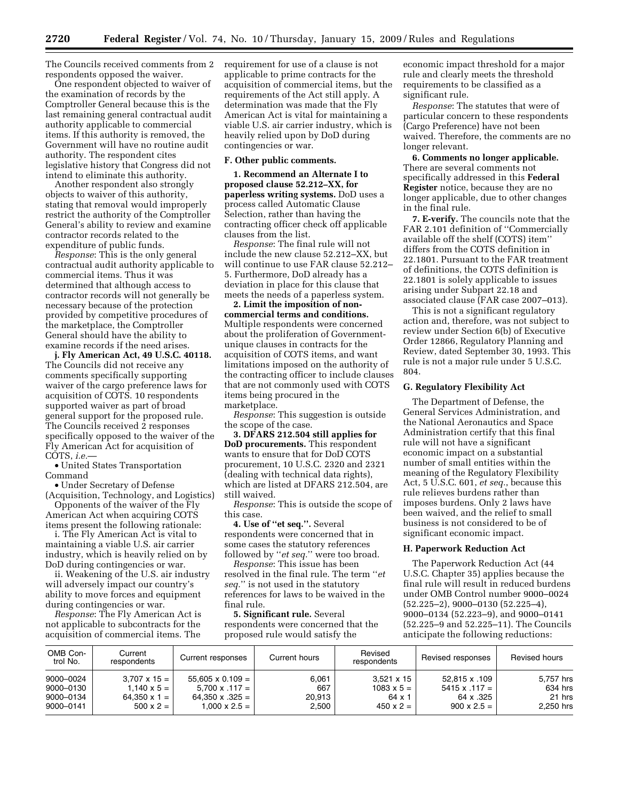The Councils received comments from 2 respondents opposed the waiver.

One respondent objected to waiver of the examination of records by the Comptroller General because this is the last remaining general contractual audit authority applicable to commercial items. If this authority is removed, the Government will have no routine audit authority. The respondent cites legislative history that Congress did not intend to eliminate this authority.

Another respondent also strongly objects to waiver of this authority, stating that removal would improperly restrict the authority of the Comptroller General's ability to review and examine contractor records related to the expenditure of public funds.

*Response*: This is the only general contractual audit authority applicable to commercial items. Thus it was determined that although access to contractor records will not generally be necessary because of the protection provided by competitive procedures of the marketplace, the Comptroller General should have the ability to examine records if the need arises.

**j. Fly American Act, 49 U.S.C. 40118.**  The Councils did not receive any comments specifically supporting waiver of the cargo preference laws for acquisition of COTS. 10 respondents supported waiver as part of broad general support for the proposed rule. The Councils received 2 responses specifically opposed to the waiver of the Fly American Act for acquisition of COTS, *i.e.*—

• United States Transportation Command

• Under Secretary of Defense (Acquisition, Technology, and Logistics)

Opponents of the waiver of the Fly American Act when acquiring COTS

items present the following rationale: i. The Fly American Act is vital to maintaining a viable U.S. air carrier industry, which is heavily relied on by DoD during contingencies or war.

ii. Weakening of the U.S. air industry will adversely impact our country's ability to move forces and equipment during contingencies or war.

*Response*: The Fly American Act is not applicable to subcontracts for the acquisition of commercial items. The

requirement for use of a clause is not applicable to prime contracts for the acquisition of commercial items, but the requirements of the Act still apply. A determination was made that the Fly American Act is vital for maintaining a viable U.S. air carrier industry, which is heavily relied upon by DoD during contingencies or war.

### **F. Other public comments.**

**1. Recommend an Alternate I to proposed clause 52.212–XX, for paperless writing systems.** DoD uses a process called Automatic Clause Selection, rather than having the contracting officer check off applicable clauses from the list.

*Response*: The final rule will not include the new clause 52.212–XX, but will continue to use FAR clause 52.212– 5. Furthermore, DoD already has a deviation in place for this clause that meets the needs of a paperless system.

**2. Limit the imposition of noncommercial terms and conditions.**  Multiple respondents were concerned about the proliferation of Governmentunique clauses in contracts for the acquisition of COTS items, and want limitations imposed on the authority of the contracting officer to include clauses that are not commonly used with COTS items being procured in the marketplace.

*Response*: This suggestion is outside the scope of the case.

**3. DFARS 212.504 still applies for DoD procurements.** This respondent wants to ensure that for DoD COTS procurement, 10 U.S.C. 2320 and 2321 (dealing with technical data rights), which are listed at DFARS 212.504, are still waived.

*Response*: This is outside the scope of this case.

**4. Use of ''et seq.''.** Several respondents were concerned that in some cases the statutory references followed by ''*et seq.*'' were too broad.

*Response*: This issue has been resolved in the final rule. The term ''*et seq.*'' is not used in the statutory references for laws to be waived in the final rule.

**5. Significant rule.** Several respondents were concerned that the proposed rule would satisfy the

economic impact threshold for a major rule and clearly meets the threshold requirements to be classified as a significant rule.

*Response*: The statutes that were of particular concern to these respondents (Cargo Preference) have not been waived. Therefore, the comments are no longer relevant.

**6. Comments no longer applicable.**  There are several comments not specifically addressed in this **Federal Register** notice, because they are no longer applicable, due to other changes in the final rule.

**7. E-verify.** The councils note that the FAR 2.101 definition of ''Commercially available off the shelf (COTS) item'' differs from the COTS definition in 22.1801. Pursuant to the FAR treatment of definitions, the COTS definition is 22.1801 is solely applicable to issues arising under Subpart 22.18 and associated clause (FAR case 2007–013).

This is not a significant regulatory action and, therefore, was not subject to review under Section 6(b) of Executive Order 12866, Regulatory Planning and Review, dated September 30, 1993. This rule is not a major rule under 5 U.S.C. 804.

### **G. Regulatory Flexibility Act**

The Department of Defense, the General Services Administration, and the National Aeronautics and Space Administration certify that this final rule will not have a significant economic impact on a substantial number of small entities within the meaning of the Regulatory Flexibility Act, 5 U.S.C. 601, *et seq.*, because this rule relieves burdens rather than imposes burdens. Only 2 laws have been waived, and the relief to small business is not considered to be of significant economic impact.

### **H. Paperwork Reduction Act**

The Paperwork Reduction Act (44 U.S.C. Chapter 35) applies because the final rule will result in reduced burdens under OMB Control number 9000–0024 (52.225–2), 9000–0130 (52.225–4), 9000–0134 (52.223–9), and 9000–0141 (52.225–9 and 52.225–11). The Councils anticipate the following reductions:

| OMB Con-<br>trol No. | Current<br>respondents | Current responses       | Current hours | Revised<br>respondents | Revised responses    | Revised hours |
|----------------------|------------------------|-------------------------|---------------|------------------------|----------------------|---------------|
| 9000-0024            | $3.707 \times 15 =$    | $55.605 \times 0.109 =$ | 6,061         | $3.521 \times 15$      | 52.815 x .109        | 5.757 hrs     |
| 9000-0130            | $1.140 \times 5 =$     | $5.700 \times .117 =$   | 667           | $1083 \times 5 =$      | $5415 \times .117 =$ | 634 hrs       |
| 9000-0134            | $64.350 \times 1 =$    | $64,350 \times .325 =$  | 20,913        | $64 \times 1$          | 64 x .325            | 21 hrs        |
| 9000-0141            | $500 \times 2 =$       | $1.000 \times 2.5 =$    | 2,500         | $450 \times 2 =$       | $900 \times 2.5 =$   | 2,250 hrs     |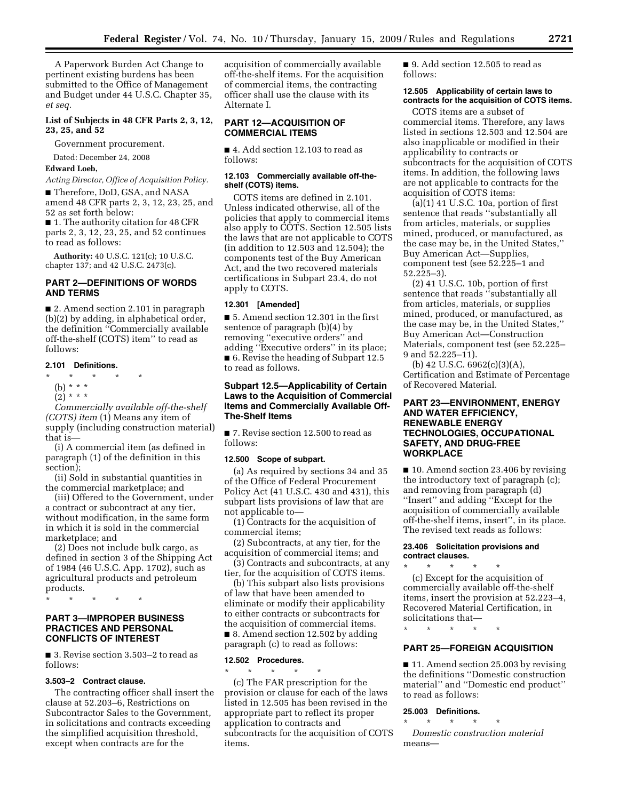A Paperwork Burden Act Change to pertinent existing burdens has been submitted to the Office of Management and Budget under 44 U.S.C. Chapter 35, *et seq.* 

### **List of Subjects in 48 CFR Parts 2, 3, 12, 23, 25, and 52**

Government procurement.

Dated: December 24, 2008

# **Edward Loeb,**

*Acting Director, Office of Acquisition Policy.* 

■ Therefore, DoD, GSA, and NASA amend 48 CFR parts 2, 3, 12, 23, 25, and 52 as set forth below:

■ 1. The authority citation for 48 CFR parts 2, 3, 12, 23, 25, and 52 continues to read as follows:

**Authority:** 40 U.S.C. 121(c); 10 U.S.C. chapter 137; and 42 U.S.C. 2473(c).

# **PART 2—DEFINITIONS OF WORDS AND TERMS**

■ 2. Amend section 2.101 in paragraph (b)(2) by adding, in alphabetical order, the definition ''Commercially available off-the-shelf (COTS) item'' to read as follows:

### **2.101 Definitions.**

\* \* \* \* \*

- (b) \* \* \*
- $(2) * * * *$

*Commercially available off-the-shelf (COTS) item* (1) Means any item of supply (including construction material) that is—

(i) A commercial item (as defined in paragraph (1) of the definition in this section);

(ii) Sold in substantial quantities in the commercial marketplace; and

(iii) Offered to the Government, under a contract or subcontract at any tier, without modification, in the same form in which it is sold in the commercial marketplace; and

(2) Does not include bulk cargo, as defined in section 3 of the Shipping Act of 1984 (46 U.S.C. App. 1702), such as agricultural products and petroleum products.

\* \* \* \* \*

### **PART 3—IMPROPER BUSINESS PRACTICES AND PERSONAL CONFLICTS OF INTEREST**

■ 3. Revise section 3.503-2 to read as follows:

#### **3.503–2 Contract clause.**

The contracting officer shall insert the clause at 52.203–6, Restrictions on Subcontractor Sales to the Government, in solicitations and contracts exceeding the simplified acquisition threshold, except when contracts are for the

acquisition of commercially available off-the-shelf items. For the acquisition of commercial items, the contracting officer shall use the clause with its Alternate I.

## **PART 12—ACQUISITION OF COMMERCIAL ITEMS**

■ 4. Add section 12.103 to read as follows:

### **12.103 Commercially available off-theshelf (COTS) items.**

COTS items are defined in 2.101. Unless indicated otherwise, all of the policies that apply to commercial items also apply to COTS. Section 12.505 lists the laws that are not applicable to COTS (in addition to 12.503 and 12.504); the components test of the Buy American Act, and the two recovered materials certifications in Subpart 23.4, do not apply to COTS.

### **12.301 [Amended]**

■ 5. Amend section 12.301 in the first sentence of paragraph (b)(4) by removing ''executive orders'' and adding ''Executive orders'' in its place; ■ 6. Revise the heading of Subpart 12.5 to read as follows.

# **Subpart 12.5—Applicability of Certain Laws to the Acquisition of Commercial Items and Commercially Available Off-The-Shelf Items**

■ 7. Revise section 12.500 to read as follows:

# **12.500 Scope of subpart.**

(a) As required by sections 34 and 35 of the Office of Federal Procurement Policy Act (41 U.S.C. 430 and 431), this subpart lists provisions of law that are not applicable to—

(1) Contracts for the acquisition of commercial items;

(2) Subcontracts, at any tier, for the acquisition of commercial items; and

(3) Contracts and subcontracts, at any tier, for the acquisition of COTS items.

(b) This subpart also lists provisions of law that have been amended to eliminate or modify their applicability to either contracts or subcontracts for the acquisition of commercial items. ■ 8. Amend section 12.502 by adding paragraph (c) to read as follows:

### **12.502 Procedures.**

\* \* \* \* \* (c) The FAR prescription for the provision or clause for each of the laws listed in 12.505 has been revised in the appropriate part to reflect its proper application to contracts and subcontracts for the acquisition of COTS items.

■ 9. Add section 12.505 to read as follows:

# **12.505 Applicability of certain laws to contracts for the acquisition of COTS items.**

COTS items are a subset of commercial items. Therefore, any laws listed in sections 12.503 and 12.504 are also inapplicable or modified in their applicability to contracts or subcontracts for the acquisition of COTS items. In addition, the following laws are not applicable to contracts for the acquisition of COTS items:

(a)(1) 41 U.S.C. 10a, portion of first sentence that reads ''substantially all from articles, materials, or supplies mined, produced, or manufactured, as the case may be, in the United States,'' Buy American Act—Supplies, component test (see 52.225–1 and 52.225–3).

(2) 41 U.S.C. 10b, portion of first sentence that reads ''substantially all from articles, materials, or supplies mined, produced, or manufactured, as the case may be, in the United States,'' Buy American Act—Construction Materials, component test (see 52.225– 9 and 52.225–11).

(b) 42 U.S.C. 6962(c)(3)(A), Certification and Estimate of Percentage of Recovered Material.

# **PART 23—ENVIRONMENT, ENERGY AND WATER EFFICIENCY, RENEWABLE ENERGY TECHNOLOGIES, OCCUPATIONAL SAFETY, AND DRUG-FREE WORKPLACE**

■ 10. Amend section 23.406 by revising the introductory text of paragraph (c); and removing from paragraph (d) ''Insert'' and adding ''Except for the acquisition of commercially available off-the-shelf items, insert'', in its place. The revised text reads as follows:

### **23.406 Solicitation provisions and contract clauses.**

\* \* \* \* \* (c) Except for the acquisition of commercially available off-the-shelf items, insert the provision at 52.223–4, Recovered Material Certification, in solicitations that—

\* \* \* \* \*

# **PART 25—FOREIGN ACQUISITION**

■ 11. Amend section 25.003 by revising the definitions ''Domestic construction material'' and ''Domestic end product'' to read as follows:

### **25.003 Definitions.**

\* \* \* \* \*

*Domestic construction material*  means—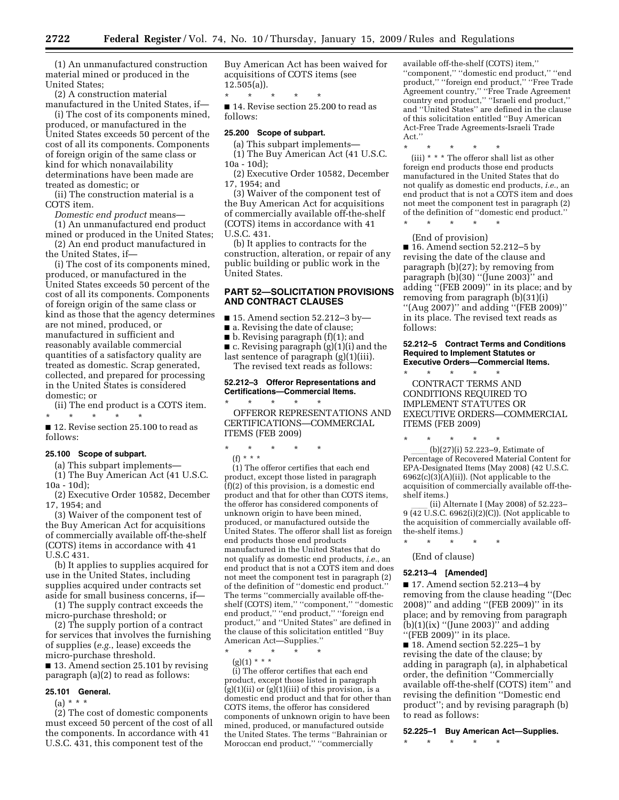(1) An unmanufactured construction material mined or produced in the United States;

(2) A construction material manufactured in the United States, if—

(i) The cost of its components mined, produced, or manufactured in the United States exceeds 50 percent of the cost of all its components. Components of foreign origin of the same class or kind for which nonavailability determinations have been made are treated as domestic; or

(ii) The construction material is a COTS item.

*Domestic end product* means—

(1) An unmanufactured end product mined or produced in the United States;

(2) An end product manufactured in the United States, if—

(i) The cost of its components mined, produced, or manufactured in the United States exceeds 50 percent of the cost of all its components. Components of foreign origin of the same class or kind as those that the agency determines are not mined, produced, or manufactured in sufficient and reasonably available commercial quantities of a satisfactory quality are treated as domestic. Scrap generated, collected, and prepared for processing in the United States is considered domestic; or

(ii) The end product is a COTS item. \* \* \* \* \*

■ 12. Revise section 25.100 to read as follows:

### **25.100 Scope of subpart.**

(a) This subpart implements—

(1) The Buy American Act (41 U.S.C. 10a - 10d);

(2) Executive Order 10582, December 17, 1954; and

(3) Waiver of the component test of the Buy American Act for acquisitions of commercially available off-the-shelf (COTS) items in accordance with 41 U.S.C 431.

(b) It applies to supplies acquired for use in the United States, including supplies acquired under contracts set aside for small business concerns, if—

(1) The supply contract exceeds the micro-purchase threshold; or

(2) The supply portion of a contract for services that involves the furnishing of supplies (*e.g.*, lease) exceeds the micro-purchase threshold.

■ 13. Amend section 25.101 by revising paragraph (a)(2) to read as follows:

#### **25.101 General.**

 $(a) * * * *$ 

(2) The cost of domestic components must exceed 50 percent of the cost of all the components. In accordance with 41 U.S.C. 431, this component test of the

Buy American Act has been waived for acquisitions of COTS items (see 12.505(a)).

\* \* \* \* \*

■ 14. Revise section 25.200 to read as follows:

# **25.200 Scope of subpart.**

(a) This subpart implements— (1) The Buy American Act (41 U.S.C. 10a - 10d);

(2) Executive Order 10582, December 17, 1954; and

(3) Waiver of the component test of the Buy American Act for acquisitions of commercially available off-the-shelf (COTS) items in accordance with 41 U.S.C. 431.

(b) It applies to contracts for the construction, alteration, or repair of any public building or public work in the United States.

# **PART 52—SOLICITATION PROVISIONS AND CONTRACT CLAUSES**

■ 15. Amend section 52.212–3 by—

- a. Revising the date of clause;
- b. Revising paragraph (f)(1); and

■ c. Revising paragraph (g)(1)(i) and the last sentence of paragraph (g)(1)(iii). The revised text reads as follows:

### **52.212–3 Offeror Representations and Certifications—Commercial Items.**

\* \* \* \* \* OFFEROR REPRESENTATIONS AND CERTIFICATIONS—COMMERCIAL ITEMS (FEB 2009)

### \* \* \* \* \* (f) \* \* \*

(1) The offeror certifies that each end product, except those listed in paragraph  $(f)(2)$  of this provision, is a domestic end product and that for other than COTS items, the offeror has considered components of unknown origin to have been mined, produced, or manufactured outside the United States. The offeror shall list as foreign end products those end products manufactured in the United States that do not qualify as domestic end products, *i.e.*, an end product that is not a COTS item and does not meet the component test in paragraph (2) of the definition of ''domestic end product.'' The terms "commercially available off-theshelf (COTS) item," "component," "domestic end product,'' ''end product,'' ''foreign end product,'' and ''United States'' are defined in the clause of this solicitation entitled ''Buy American Act—Supplies.''

\* \* \* \* \*

 $(g)(1)$  \* \* \*

(i) The offeror certifies that each end product, except those listed in paragraph  $(g)(1)(ii)$  or  $(g)(1)(iii)$  of this provision, is a domestic end product and that for other than COTS items, the offeror has considered components of unknown origin to have been mined, produced, or manufactured outside the United States. The terms ''Bahrainian or Moroccan end product,'' ''commercially

available off-the-shelf (COTS) item,'' ''component,'' ''domestic end product,'' ''end product,'' ''foreign end product,'' ''Free Trade Agreement country,'' ''Free Trade Agreement country end product,'' ''Israeli end product,'' and ''United States'' are defined in the clause of this solicitation entitled ''Buy American Act-Free Trade Agreements-Israeli Trade Act.''

\* \* \* \* \*

(iii) \* \* \* The offeror shall list as other foreign end products those end products manufactured in the United States that do not qualify as domestic end products, *i.e.*, an end product that is not a COTS item and does not meet the component test in paragraph (2) of the definition of ''domestic end product.''

\* \* \* \* \* (End of provision)

■ 16. Amend section 52.212–5 by revising the date of the clause and paragraph (b)(27); by removing from paragraph (b)(30) ''(June 2003)'' and adding ''(FEB 2009)'' in its place; and by removing from paragraph (b)(31)(i) ''(Aug 2007)'' and adding ''(FEB 2009)'' in its place. The revised text reads as follows:

### **52.212–5 Contract Terms and Conditions Required to Implement Statutes or Executive Orders—Commercial Items.**

\* \* \* \* \* CONTRACT TERMS AND CONDITIONS REQUIRED TO IMPLEMENT STATUTES OR EXECUTIVE ORDERS—COMMERCIAL ITEMS (FEB 2009)

\* \* \* \* \*  $(b)(27)(i)$  52.223-9, Estimate of Percentage of Recovered Material Content for EPA-Designated Items (May 2008) (42 U.S.C.  $6962(c)(3)(A)(ii)$ . (Not applicable to the acquisition of commercially available off-the-

shelf items.) ll (ii) Alternate I (May 2008) of 52.223– 9 (42 U.S.C. 6962(i)(2)(C)). (Not applicable to the acquisition of commercially available offthe-shelf items.)

\* \* \* \* \*

(End of clause)

### **52.213–4 [Amended]**

■ 17. Amend section 52.213–4 by removing from the clause heading ''(Dec 2008)'' and adding ''(FEB 2009)'' in its place; and by removing from paragraph  $(b)(1)(ix)$  "(June 2003)" and adding "(FEB 2009)" in its place.

■ 18. Amend section 52.225–1 by revising the date of the clause; by adding in paragraph (a), in alphabetical order, the definition ''Commercially available off-the-shelf (COTS) item'' and revising the definition ''Domestic end product''; and by revising paragraph (b) to read as follows:

**52.225–1 Buy American Act—Supplies.** 

\* \* \* \* \*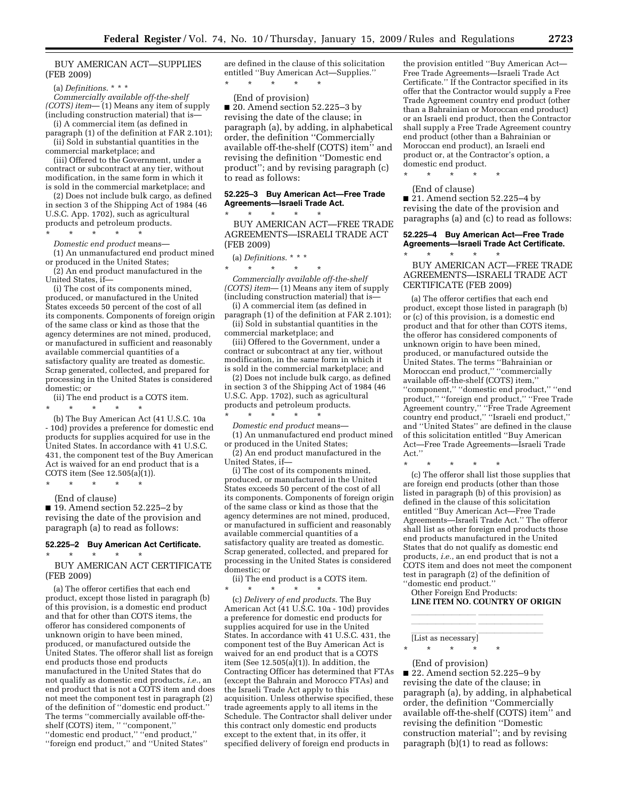### BUY AMERICAN ACT—SUPPLIES (FEB 2009)

(a) *Definitions*. \* \* \*

*Commercially available off-the-shelf (COTS) item*— (1) Means any item of supply (including construction material) that is—

(i) A commercial item (as defined in paragraph (1) of the definition at FAR 2.101); (ii) Sold in substantial quantities in the

commercial marketplace; and (iii) Offered to the Government, under a contract or subcontract at any tier, without modification, in the same form in which it is sold in the commercial marketplace; and

(2) Does not include bulk cargo, as defined in section 3 of the Shipping Act of 1984 (46 U.S.C. App. 1702), such as agricultural products and petroleum products.

\* \* \* \* \*

*Domestic end product* means— (1) An unmanufactured end product mined or produced in the United States;

(2) An end product manufactured in the United States, if—

(i) The cost of its components mined, produced, or manufactured in the United States exceeds 50 percent of the cost of all its components. Components of foreign origin of the same class or kind as those that the agency determines are not mined, produced, or manufactured in sufficient and reasonably available commercial quantities of a satisfactory quality are treated as domestic. Scrap generated, collected, and prepared for processing in the United States is considered domestic; or

(ii) The end product is a COTS item.

\* \* \* \* \* (b) The Buy American Act (41 U.S.C. 10a - 10d) provides a preference for domestic end products for supplies acquired for use in the United States. In accordance with 41 U.S.C. 431, the component test of the Buy American Act is waived for an end product that is a COTS item (See 12.505(a)(1)).

(End of clause) ■ 19. Amend section 52.225–2 by revising the date of the provision and paragraph (a) to read as follows:

\* \* \* \* \*

\* \* \* \* \*

#### **52.225–2 Buy American Act Certificate.**

BUY AMERICAN ACT CERTIFICATE (FEB 2009)

(a) The offeror certifies that each end product, except those listed in paragraph (b) of this provision, is a domestic end product and that for other than COTS items, the offeror has considered components of unknown origin to have been mined, produced, or manufactured outside the United States. The offeror shall list as foreign end products those end products manufactured in the United States that do not qualify as domestic end products, *i.e.*, an end product that is not a COTS item and does not meet the component test in paragraph (2) of the definition of ''domestic end product.'' The terms ''commercially available off-theshelf (COTS) item, '' ''component,'' ''domestic end product,'' ''end product,'' ''foreign end product,'' and ''United States''

are defined in the clause of this solicitation entitled ''Buy American Act—Supplies.'' \* \* \* \* \*

### (End of provision)

■ 20. Amend section 52.225–3 by revising the date of the clause; in paragraph (a), by adding, in alphabetical order, the definition ''Commercially available off-the-shelf (COTS) item'' and revising the definition ''Domestic end product''; and by revising paragraph (c) to read as follows:

### **52.225–3 Buy American Act—Free Trade Agreements—Israeli Trade Act.**

\* \* \* \* \*

BUY AMERICAN ACT—FREE TRADE AGREEMENTS—ISRAELI TRADE ACT (FEB 2009)

(a) *Definitions*. \* \* \*

\* \* \* \* \*

*Commercially available off-the-shelf (COTS) item*— (1) Means any item of supply (including construction material) that is— (i) A commercial item (as defined in

paragraph (1) of the definition at FAR 2.101);

(ii) Sold in substantial quantities in the commercial marketplace; and

(iii) Offered to the Government, under a contract or subcontract at any tier, without modification, in the same form in which it is sold in the commercial marketplace; and

(2) Does not include bulk cargo, as defined in section 3 of the Shipping Act of 1984 (46 U.S.C. App. 1702), such as agricultural products and petroleum products.

\* \* \* \* \* *Domestic end product* means—

(1) An unmanufactured end product mined or produced in the United States;

(2) An end product manufactured in the United States, if—

(i) The cost of its components mined, produced, or manufactured in the United States exceeds 50 percent of the cost of all its components. Components of foreign origin of the same class or kind as those that the agency determines are not mined, produced, or manufactured in sufficient and reasonably available commercial quantities of a satisfactory quality are treated as domestic. Scrap generated, collected, and prepared for processing in the United States is considered domestic; or

(ii) The end product is a COTS item.

\* \* \* \* \* (c) *Delivery of end products*. The Buy American Act (41 U.S.C. 10a - 10d) provides a preference for domestic end products for supplies acquired for use in the United States. In accordance with 41 U.S.C. 431, the component test of the Buy American Act is waived for an end product that is a COTS item (See 12.505(a)(1)). In addition, the Contracting Officer has determined that FTAs (except the Bahrain and Morocco FTAs) and the Israeli Trade Act apply to this acquisition. Unless otherwise specified, these trade agreements apply to all items in the Schedule. The Contractor shall deliver under this contract only domestic end products except to the extent that, in its offer, it specified delivery of foreign end products in

the provision entitled ''Buy American Act— Free Trade Agreements—Israeli Trade Act Certificate.'' If the Contractor specified in its offer that the Contractor would supply a Free Trade Agreement country end product (other than a Bahrainian or Moroccan end product) or an Israeli end product, then the Contractor shall supply a Free Trade Agreement country end product (other than a Bahrainian or Moroccan end product), an Israeli end product or, at the Contractor's option, a domestic end product.

\* \* \* \* \*

(End of clause) ■ 21. Amend section 52.225–4 by revising the date of the provision and paragraphs (a) and (c) to read as follows:

### **52.225–4 Buy American Act—Free Trade Agreements—Israeli Trade Act Certificate.**

\* \* \* \* \* BUY AMERICAN ACT—FREE TRADE AGREEMENTS—ISRAELI TRADE ACT CERTIFICATE (FEB 2009)

(a) The offeror certifies that each end product, except those listed in paragraph (b) or (c) of this provision, is a domestic end product and that for other than COTS items, the offeror has considered components of unknown origin to have been mined, produced, or manufactured outside the United States. The terms ''Bahrainian or Moroccan end product,'' ''commercially available off-the-shelf (COTS) item,'' ''component,'' ''domestic end product,'' ''end product,'' ''foreign end product,'' ''Free Trade Agreement country,'' ''Free Trade Agreement country end product,'' ''Israeli end product,'' and ''United States'' are defined in the clause of this solicitation entitled ''Buy American Act—Free Trade Agreements—Israeli Trade Act.''

\* \* \* \* \*

(c) The offeror shall list those supplies that are foreign end products (other than those listed in paragraph (b) of this provision) as defined in the clause of this solicitation entitled ''Buy American Act—Free Trade Agreements—Israeli Trade Act.'' The offeror shall list as other foreign end products those end products manufactured in the United States that do not qualify as domestic end products, *i.e.*, an end product that is not a COTS item and does not meet the component test in paragraph (2) of the definition of ''domestic end product.''

Other Foreign End Products: **LINE ITEM NO. COUNTRY OF ORIGIN** 

llland and all little states and all little states of the state of the state of the state of the state of the llland and all little states and all little states of the state of the state of the state of the state of the

# [List as necessary]

\* \* \* \* \*

(End of provision) ■ 22. Amend section 52.225-9 by revising the date of the clause; in paragraph (a), by adding, in alphabetical order, the definition ''Commercially available off-the-shelf (COTS) item'' and revising the definition ''Domestic construction material''; and by revising paragraph (b)(1) to read as follows: